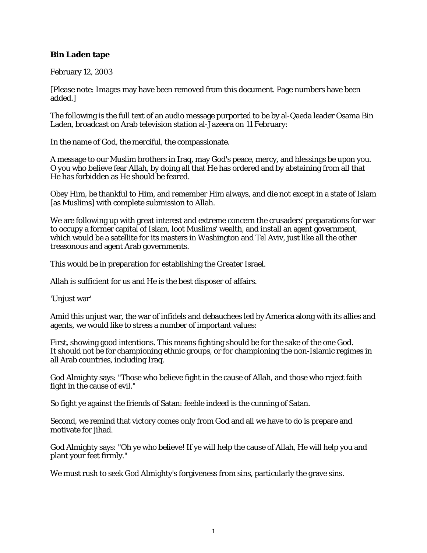## **Bin Laden tape**

February 12, 2003

[Please note: Images may have been removed from this document. Page numbers have been added.]

The following is the full text of an audio message purported to be by al-Qaeda leader Osama Bin Laden, broadcast on Arab television station al-Jazeera on 11 February:

In the name of God, the merciful, the compassionate.

A message to our Muslim brothers in Iraq, may God's peace, mercy, and blessings be upon you. O you who believe fear Allah, by doing all that He has ordered and by abstaining from all that He has forbidden as He should be feared.

Obey Him, be thankful to Him, and remember Him always, and die not except in a state of Islam [as Muslims] with complete submission to Allah.

We are following up with great interest and extreme concern the crusaders' preparations for war to occupy a former capital of Islam, loot Muslims' wealth, and install an agent government, which would be a satellite for its masters in Washington and Tel Aviv, just like all the other treasonous and agent Arab governments.

This would be in preparation for establishing the Greater Israel.

Allah is sufficient for us and He is the best disposer of affairs.

'Unjust war'

Amid this unjust war, the war of infidels and debauchees led by America along with its allies and agents, we would like to stress a number of important values:

First, showing good intentions. This means fighting should be for the sake of the one God. It should not be for championing ethnic groups, or for championing the non-Islamic regimes in all Arab countries, including Iraq.

God Almighty says: "Those who believe fight in the cause of Allah, and those who reject faith fight in the cause of evil."

So fight ye against the friends of Satan: feeble indeed is the cunning of Satan.

Second, we remind that victory comes only from God and all we have to do is prepare and motivate for jihad.

God Almighty says: "Oh ye who believe! If ye will help the cause of Allah, He will help you and plant your feet firmly."

We must rush to seek God Almighty's forgiveness from sins, particularly the grave sins.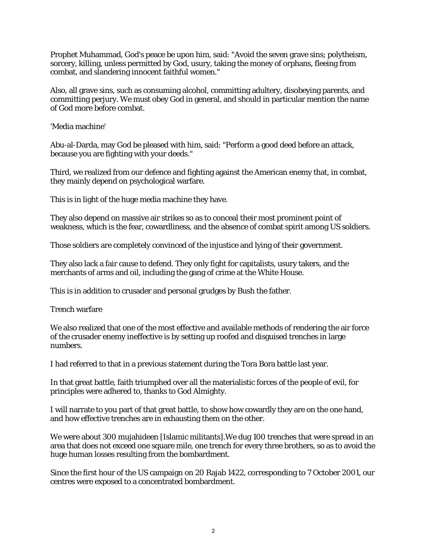Prophet Muhammad, God's peace be upon him, said: "Avoid the seven grave sins; polytheism, sorcery, killing, unless permitted by God, usury, taking the money of orphans, fleeing from combat, and slandering innocent faithful women."

Also, all grave sins, such as consuming alcohol, committing adultery, disobeying parents, and committing perjury. We must obey God in general, and should in particular mention the name of God more before combat.

'Media machine'

Abu-al-Darda, may God be pleased with him, said: "Perform a good deed before an attack, because you are fighting with your deeds."

Third, we realized from our defence and fighting against the American enemy that, in combat, they mainly depend on psychological warfare.

This is in light of the huge media machine they have.

They also depend on massive air strikes so as to conceal their most prominent point of weakness, which is the fear, cowardliness, and the absence of combat spirit among US soldiers.

Those soldiers are completely convinced of the injustice and lying of their government.

They also lack a fair cause to defend. They only fight for capitalists, usury takers, and the merchants of arms and oil, including the gang of crime at the White House.

This is in addition to crusader and personal grudges by Bush the father.

Trench warfare

We also realized that one of the most effective and available methods of rendering the air force of the crusader enemy ineffective is by setting up roofed and disguised trenches in large numbers.

I had referred to that in a previous statement during the Tora Bora battle last year.

In that great battle, faith triumphed over all the materialistic forces of the people of evil, for principles were adhered to, thanks to God Almighty.

I will narrate to you part of that great battle, to show how cowardly they are on the one hand, and how effective trenches are in exhausting them on the other.

We were about 300 mujahideen [Islamic militants]. We dug 100 trenches that were spread in an area that does not exceed one square mile, one trench for every three brothers, so as to avoid the huge human losses resulting from the bombardment.

Since the first hour of the US campaign on 20 Rajab 1422, corresponding to 7 October 2001, our centres were exposed to a concentrated bombardment.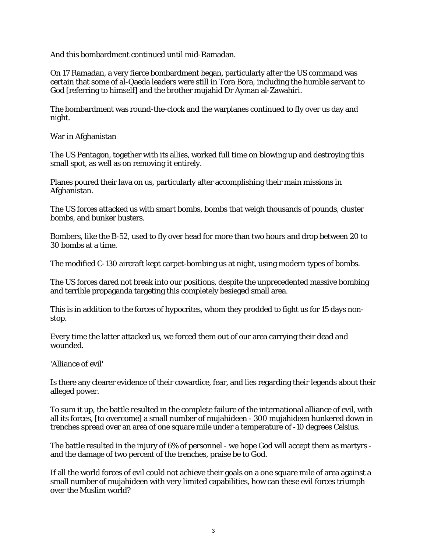And this bombardment continued until mid-Ramadan.

On 17 Ramadan, a very fierce bombardment began, particularly after the US command was certain that some of al-Qaeda leaders were still in Tora Bora, including the humble servant to God [referring to himself] and the brother mujahid Dr Ayman al-Zawahiri.

The bombardment was round-the-clock and the warplanes continued to fly over us day and night.

War in Afghanistan

The US Pentagon, together with its allies, worked full time on blowing up and destroying this small spot, as well as on removing it entirely.

Planes poured their lava on us, particularly after accomplishing their main missions in Afghanistan.

The US forces attacked us with smart bombs, bombs that weigh thousands of pounds, cluster bombs, and bunker busters.

Bombers, like the B-52, used to fly over head for more than two hours and drop between 20 to 30 bombs at a time.

The modified C-130 aircraft kept carpet-bombing us at night, using modern types of bombs.

The US forces dared not break into our positions, despite the unprecedented massive bombing and terrible propaganda targeting this completely besieged small area.

This is in addition to the forces of hypocrites, whom they prodded to fight us for 15 days nonstop.

Every time the latter attacked us, we forced them out of our area carrying their dead and wounded.

'Alliance of evil'

Is there any clearer evidence of their cowardice, fear, and lies regarding their legends about their alleged power.

To sum it up, the battle resulted in the complete failure of the international alliance of evil, with all its forces, [to overcome] a small number of mujahideen - 300 mujahideen hunkered down in trenches spread over an area of one square mile under a temperature of -10 degrees Celsius.

The battle resulted in the injury of 6% of personnel - we hope God will accept them as martyrs and the damage of two percent of the trenches, praise be to God.

If all the world forces of evil could not achieve their goals on a one square mile of area against a small number of mujahideen with very limited capabilities, how can these evil forces triumph over the Muslim world?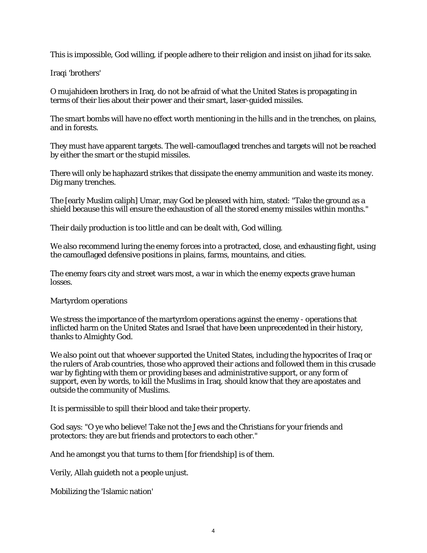This is impossible, God willing, if people adhere to their religion and insist on jihad for its sake.

Iraqi 'brothers'

O mujahideen brothers in Iraq, do not be afraid of what the United States is propagating in terms of their lies about their power and their smart, laser-guided missiles.

The smart bombs will have no effect worth mentioning in the hills and in the trenches, on plains, and in forests.

They must have apparent targets. The well-camouflaged trenches and targets will not be reached by either the smart or the stupid missiles.

There will only be haphazard strikes that dissipate the enemy ammunition and waste its money. Dig many trenches.

The [early Muslim caliph] Umar, may God be pleased with him, stated: "Take the ground as a shield because this will ensure the exhaustion of all the stored enemy missiles within months."

Their daily production is too little and can be dealt with, God willing.

We also recommend luring the enemy forces into a protracted, close, and exhausting fight, using the camouflaged defensive positions in plains, farms, mountains, and cities.

The enemy fears city and street wars most, a war in which the enemy expects grave human losses.

## Martyrdom operations

We stress the importance of the martyrdom operations against the enemy - operations that inflicted harm on the United States and Israel that have been unprecedented in their history, thanks to Almighty God.

We also point out that whoever supported the United States, including the hypocrites of Iraq or the rulers of Arab countries, those who approved their actions and followed them in this crusade war by fighting with them or providing bases and administrative support, or any form of support, even by words, to kill the Muslims in Iraq, should know that they are apostates and outside the community of Muslims.

It is permissible to spill their blood and take their property.

God says: "O ye who believe! Take not the Jews and the Christians for your friends and protectors: they are but friends and protectors to each other."

And he amongst you that turns to them [for friendship] is of them.

Verily, Allah guideth not a people unjust.

Mobilizing the 'Islamic nation'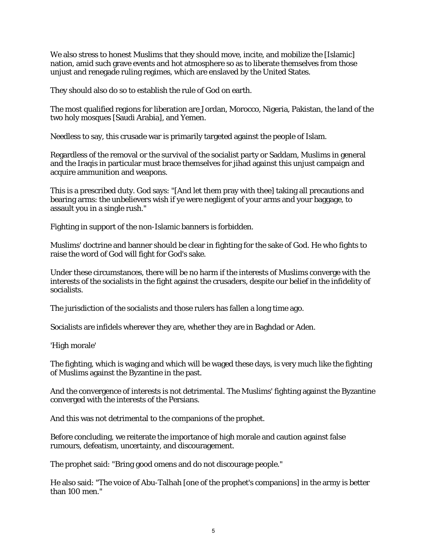We also stress to honest Muslims that they should move, incite, and mobilize the [Islamic] nation, amid such grave events and hot atmosphere so as to liberate themselves from those unjust and renegade ruling regimes, which are enslaved by the United States.

They should also do so to establish the rule of God on earth.

The most qualified regions for liberation are Jordan, Morocco, Nigeria, Pakistan, the land of the two holy mosques [Saudi Arabia], and Yemen.

Needless to say, this crusade war is primarily targeted against the people of Islam.

Regardless of the removal or the survival of the socialist party or Saddam, Muslims in general and the Iraqis in particular must brace themselves for jihad against this unjust campaign and acquire ammunition and weapons.

This is a prescribed duty. God says: "[And let them pray with thee] taking all precautions and bearing arms: the unbelievers wish if ye were negligent of your arms and your baggage, to assault you in a single rush."

Fighting in support of the non-Islamic banners is forbidden.

Muslims' doctrine and banner should be clear in fighting for the sake of God. He who fights to raise the word of God will fight for God's sake.

Under these circumstances, there will be no harm if the interests of Muslims converge with the interests of the socialists in the fight against the crusaders, despite our belief in the infidelity of socialists.

The jurisdiction of the socialists and those rulers has fallen a long time ago.

Socialists are infidels wherever they are, whether they are in Baghdad or Aden.

'High morale'

The fighting, which is waging and which will be waged these days, is very much like the fighting of Muslims against the Byzantine in the past.

And the convergence of interests is not detrimental. The Muslims' fighting against the Byzantine converged with the interests of the Persians.

And this was not detrimental to the companions of the prophet.

Before concluding, we reiterate the importance of high morale and caution against false rumours, defeatism, uncertainty, and discouragement.

The prophet said: "Bring good omens and do not discourage people."

He also said: "The voice of Abu-Talhah [one of the prophet's companions] in the army is better than 100 men."